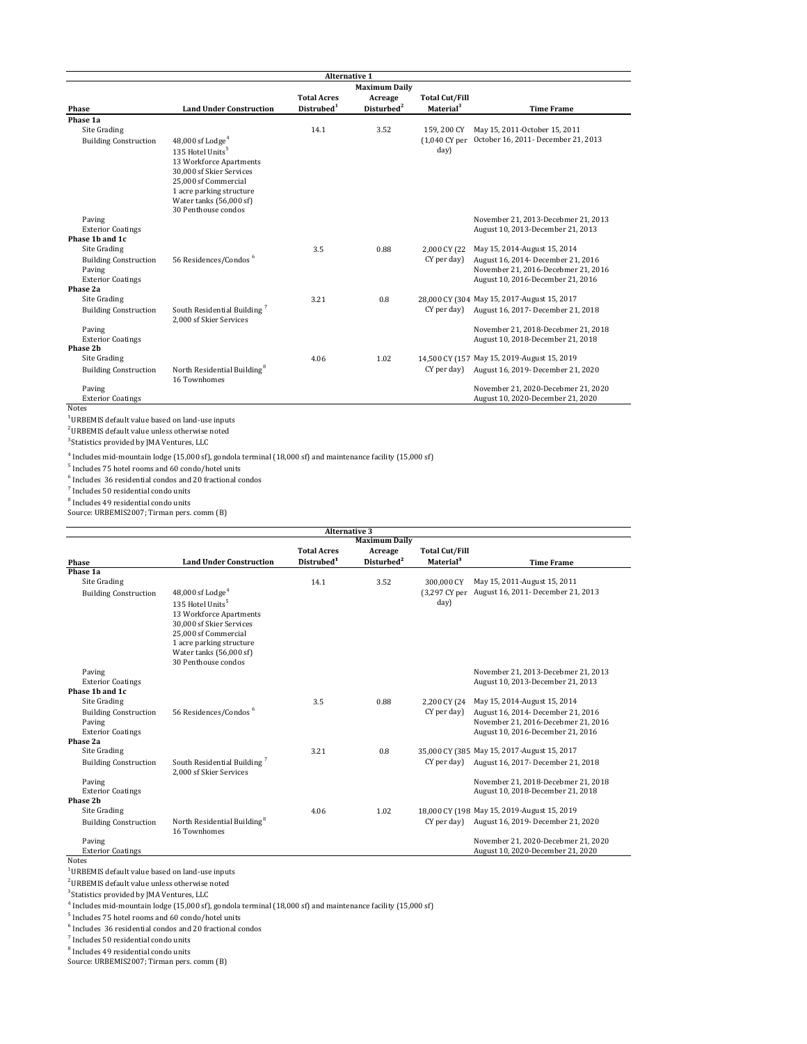| <b>Alternative 1</b>         |                                                                    |                        |                        |                       |                                             |  |
|------------------------------|--------------------------------------------------------------------|------------------------|------------------------|-----------------------|---------------------------------------------|--|
| <b>Maximum Daily</b>         |                                                                    |                        |                        |                       |                                             |  |
|                              |                                                                    | <b>Total Acres</b>     | Acreage                | <b>Total Cut/Fill</b> |                                             |  |
| Phase                        | <b>Land Under Construction</b>                                     | Distrubed <sup>1</sup> | Disturbed <sup>2</sup> | Material <sup>3</sup> | <b>Time Frame</b>                           |  |
| Phase 1a                     |                                                                    |                        |                        |                       |                                             |  |
| Site Grading                 |                                                                    | 14.1                   | 3.52                   | 159.200 CY            | May 15, 2011-October 15, 2011               |  |
| <b>Building Construction</b> | $48,000$ sf Lodge <sup>4</sup>                                     |                        |                        | (1.040 CY per         | October 16, 2011- December 21, 2013         |  |
|                              | 135 Hotel Units <sup>5</sup>                                       |                        |                        | day)                  |                                             |  |
|                              | 13 Workforce Apartments                                            |                        |                        |                       |                                             |  |
|                              | 30,000 sf Skier Services                                           |                        |                        |                       |                                             |  |
|                              | 25,000 sf Commercial                                               |                        |                        |                       |                                             |  |
|                              | 1 acre parking structure                                           |                        |                        |                       |                                             |  |
|                              | Water tanks (56,000 sf)                                            |                        |                        |                       |                                             |  |
|                              | 30 Penthouse condos                                                |                        |                        |                       |                                             |  |
| Paving                       |                                                                    |                        |                        |                       | November 21, 2013-Decebmer 21, 2013         |  |
| <b>Exterior Coatings</b>     |                                                                    |                        |                        |                       | August 10, 2013-December 21, 2013           |  |
| Phase 1b and 1c              |                                                                    |                        |                        |                       |                                             |  |
| Site Grading                 |                                                                    | 3.5                    | 0.88                   | 2,000 CY (22          | May 15, 2014-August 15, 2014                |  |
| <b>Building Construction</b> | 56 Residences/Condos <sup>6</sup>                                  |                        |                        | CY per day)           | August 16, 2014- December 21, 2016          |  |
| Paving                       |                                                                    |                        |                        |                       | November 21, 2016-Decebmer 21, 2016         |  |
| <b>Exterior Coatings</b>     |                                                                    |                        |                        |                       | August 10, 2016-December 21, 2016           |  |
| Phase 2a                     |                                                                    |                        |                        |                       |                                             |  |
| Site Grading                 |                                                                    | 3.21                   | 0.8                    |                       | 28.000 CY (304 May 15, 2017-August 15, 2017 |  |
| <b>Building Construction</b> | South Residential Building <sup>7</sup><br>2,000 sf Skier Services |                        |                        | CY per day)           | August 16, 2017 - December 21, 2018         |  |
| Paving                       |                                                                    |                        |                        |                       | November 21, 2018-Decebmer 21, 2018         |  |
| <b>Exterior Coatings</b>     |                                                                    |                        |                        |                       | August 10, 2018-December 21, 2018           |  |
| Phase 2b                     |                                                                    |                        |                        |                       |                                             |  |
| Site Grading                 |                                                                    | 4.06                   | 1.02                   |                       | 14.500 CY (157 May 15, 2019-August 15, 2019 |  |
| <b>Building Construction</b> | North Residential Building <sup>8</sup><br>16 Townhomes            |                        |                        | CY per day)           | August 16, 2019- December 21, 2020          |  |
| Paving                       |                                                                    |                        |                        |                       | November 21, 2020-Decebmer 21, 2020         |  |
| <b>Exterior Coatings</b>     |                                                                    |                        |                        |                       | August 10, 2020-December 21, 2020           |  |

2 URBEMIS default value unless otherwise noted

 $^3$  Statistics provided by JMA Ventures, LLC  $\,$ 

4 Includes mid‐mountain lodge (15,000 sf), gondola terminal (18,000 sf) and maintenance facility (15,000 sf)

5 Includes 75 hotel rooms and 60 condo/hotel units

6 Includes 36 residential condos and 20 fractional condos

7 Includes 50 residential condo units

<sup>8</sup> Includes 49 residential condo units

Source: URBEMIS2007; Tirman pers. comm (B)

|                              |                                         | <b>Total Acres</b>     | <b>Maximum Daily</b>              | <b>Total Cut/Fill</b> |                                             |
|------------------------------|-----------------------------------------|------------------------|-----------------------------------|-----------------------|---------------------------------------------|
| Phase                        | <b>Land Under Construction</b>          | Distrubed <sup>1</sup> | Acreage<br>Disturbed <sup>2</sup> | Material <sup>3</sup> | <b>Time Frame</b>                           |
| Phase 1a                     |                                         |                        |                                   |                       |                                             |
| Site Grading                 |                                         | 14.1                   |                                   |                       | May 15, 2011-August 15, 2011                |
|                              |                                         |                        | 3.52                              | 300,000 CY            |                                             |
| <b>Building Construction</b> | $48,000$ sf Lodge <sup>4</sup>          |                        |                                   | (3.297 CY per         | August 16, 2011- December 21, 2013          |
|                              | 135 Hotel Units <sup>5</sup>            |                        |                                   | day)                  |                                             |
|                              | 13 Workforce Apartments                 |                        |                                   |                       |                                             |
|                              | 30.000 sf Skier Services                |                        |                                   |                       |                                             |
|                              | 25.000 sf Commercial                    |                        |                                   |                       |                                             |
|                              | 1 acre parking structure                |                        |                                   |                       |                                             |
|                              | Water tanks (56,000 sf)                 |                        |                                   |                       |                                             |
|                              | 30 Penthouse condos                     |                        |                                   |                       |                                             |
| Paving                       |                                         |                        |                                   |                       | November 21, 2013-Decebmer 21, 2013         |
| <b>Exterior Coatings</b>     |                                         |                        |                                   |                       | August 10, 2013-December 21, 2013           |
| Phase 1b and 1c              |                                         |                        |                                   |                       |                                             |
| Site Grading                 |                                         | 3.5                    | 0.88                              | 2,200 CY (24          | May 15, 2014-August 15, 2014                |
| <b>Building Construction</b> | 56 Residences/Condos <sup>6</sup>       |                        |                                   | CY per day)           | August 16, 2014- December 21, 2016          |
| Paving                       |                                         |                        |                                   |                       | November 21, 2016-Decebmer 21, 2016         |
| <b>Exterior Coatings</b>     |                                         |                        |                                   |                       | August 10, 2016-December 21, 2016           |
| Phase 2a                     |                                         |                        |                                   |                       |                                             |
| Site Grading                 |                                         | 3.21                   | 0.8                               |                       | 35.000 CY (385 May 15, 2017-August 15, 2017 |
| <b>Building Construction</b> | South Residential Building <sup>7</sup> |                        |                                   | CY per day)           | August 16, 2017- December 21, 2018          |
|                              | 2.000 sf Skier Services                 |                        |                                   |                       |                                             |
| Paving                       |                                         |                        |                                   |                       | November 21, 2018-Decebmer 21, 2018         |
| <b>Exterior Coatings</b>     |                                         |                        |                                   |                       | August 10, 2018-December 21, 2018           |
| Phase 2b                     |                                         |                        |                                   |                       |                                             |
| Site Grading                 |                                         | 4.06                   | 1.02                              |                       | 18.000 CY (198 May 15, 2019-August 15, 2019 |
| <b>Building Construction</b> | North Residential Building <sup>8</sup> |                        |                                   | CY per day)           | August 16, 2019- December 21, 2020          |
|                              | 16 Townhomes                            |                        |                                   |                       |                                             |
| Paving                       |                                         |                        |                                   |                       | November 21, 2020-Decebmer 21, 2020         |
| <b>Exterior Coatings</b>     |                                         |                        |                                   |                       | August 10, 2020-December 21, 2020           |
| <b>Notes</b>                 |                                         |                        |                                   |                       |                                             |

 $^{\rm 1}$  URBEMIS default value based on land-use inputs

2 URBEMIS default value unless otherwise noted

3 Statistics provided by JMA Ventures, LLC

4 Includes mid‐mountain lodge (15,000 sf), gondola terminal (18,000 sf) and maintenance facility (15,000 sf)

5 Includes 75 hotel rooms and 60 condo/hotel units

6 Includes 36 residential condos and 20 fractional condos

7 Includes 50 residential condo units

8 Includes 49 residential condo units

Source: URBEMIS2007; Tirman pers. comm (B)